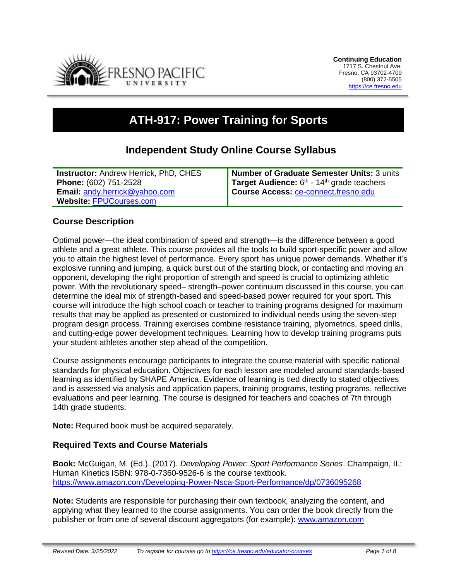

# **ATH-917: Power Training for Sports**

# **Independent Study Online Course Syllabus**

| <b>Instructor: Andrew Herrick, PhD, CHES</b> | Number of Graduate Semester Units: 3 units               |
|----------------------------------------------|----------------------------------------------------------|
| Phone: (602) 751-2528                        | Target Audience: $6th$ - 14 <sup>th</sup> grade teachers |
| <b>Email: andy.herrick@yahoo.com</b>         | Course Access: ce-connect.fresno.edu                     |
| Website: FPUCourses.com                      |                                                          |

#### **Course Description**

Optimal power—the ideal combination of speed and strength—is the difference between a good athlete and a great athlete. This course provides all the tools to build sport-specific power and allow you to attain the highest level of performance. Every sport has unique power demands. Whether it's explosive running and jumping, a quick burst out of the starting block, or contacting and moving an opponent, developing the right proportion of strength and speed is crucial to optimizing athletic power. With the revolutionary speed– strength–power continuum discussed in this course, you can determine the ideal mix of strength-based and speed-based power required for your sport. This course will introduce the high school coach or teacher to training programs designed for maximum results that may be applied as presented or customized to individual needs using the seven-step program design process. Training exercises combine resistance training, plyometrics, speed drills, and cutting-edge power development techniques. Learning how to develop training programs puts your student athletes another step ahead of the competition.

Course assignments encourage participants to integrate the course material with specific national standards for physical education. Objectives for each lesson are modeled around standards-based learning as identified by SHAPE America. Evidence of learning is tied directly to stated objectives and is assessed via analysis and application papers, training programs, testing programs, reflective evaluations and peer learning. The course is designed for teachers and coaches of 7th through 14th grade students.

**Note:** Required book must be acquired separately.

#### **Required Texts and Course Materials**

**Book:** McGuigan, M. (Ed.). (2017). *Developing Power: Sport Performance Series*. Champaign, IL: Human Kinetics ISBN: 978-0-7360-9526-6 is the course textbook. <https://www.amazon.com/Developing-Power-Nsca-Sport-Performance/dp/0736095268>

**Note:** Students are responsible for purchasing their own textbook, analyzing the content, and applying what they learned to the course assignments. You can order the book directly from the publisher or from one of several discount aggregators (for example): [www.amazon.com](http://www.amazon.com/)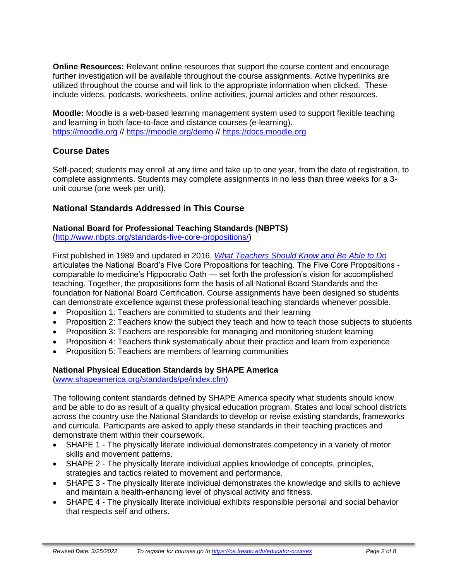**Online Resources:** Relevant online resources that support the course content and encourage further investigation will be available throughout the course assignments. Active hyperlinks are utilized throughout the course and will link to the appropriate information when clicked. These include videos, podcasts, worksheets, online activities, journal articles and other resources.

**Moodle:** Moodle is a web-based learning management system used to support flexible teaching and learning in both face-to-face and distance courses (e-learning). [https://moodle.org](https://moodle.org/) //<https://moodle.org/demo> // [https://docs.moodle.org](https://docs.moodle.org/)

# **Course Dates**

Self-paced; students may enroll at any time and take up to one year, from the date of registration, to complete assignments. Students may complete assignments in no less than three weeks for a 3 unit course (one week per unit).

## **National Standards Addressed in This Course**

#### **National Board for Professional Teaching Standards (NBPTS)**

[\(http://www.nbpts.org/standards-five-core-propositions/\)](http://www.nbpts.org/standards-five-core-propositions/)

First published in 1989 and updated in 2016, *[What Teachers Should Know and Be Able to Do](http://www.accomplishedteacher.org/)* articulates the National Board's Five Core Propositions for teaching. The Five Core Propositions comparable to medicine's Hippocratic Oath — set forth the profession's vision for accomplished teaching. Together, the propositions form the basis of all National Board Standards and the foundation for National Board Certification. Course assignments have been designed so students can demonstrate excellence against these professional teaching standards whenever possible.

- Proposition 1: Teachers are committed to students and their learning
- Proposition 2: Teachers know the subject they teach and how to teach those subjects to students
- Proposition 3: Teachers are responsible for managing and monitoring student learning
- Proposition 4: Teachers think systematically about their practice and learn from experience
- Proposition 5: Teachers are members of learning communities

#### **National Physical Education Standards by SHAPE America**

[\(www.shapeamerica.org/standards/pe/index.cfm\)](http://www.shapeamerica.org/standards/pe/index.cfm)

The following content standards defined by SHAPE America specify what students should know and be able to do as result of a quality physical education program. States and local school districts across the country use the National Standards to develop or revise existing standards, frameworks and curricula. Participants are asked to apply these standards in their teaching practices and demonstrate them within their coursework.

- SHAPE 1 The physically literate individual demonstrates competency in a variety of motor skills and movement patterns.
- SHAPE 2 The physically literate individual applies knowledge of concepts, principles, strategies and tactics related to movement and performance.
- SHAPE 3 The physically literate individual demonstrates the knowledge and skills to achieve and maintain a health-enhancing level of physical activity and fitness.
- SHAPE 4 The physically literate individual exhibits responsible personal and social behavior that respects self and others.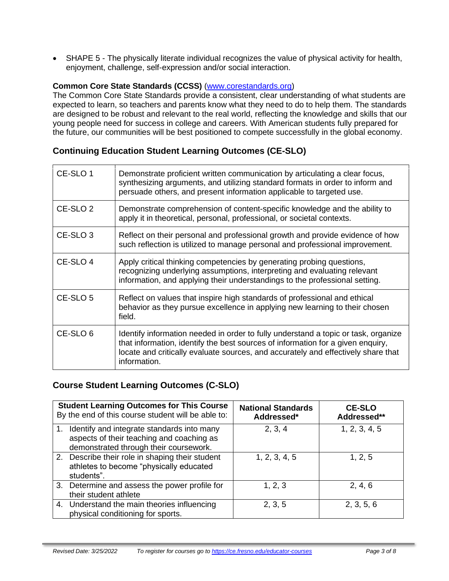• SHAPE 5 - The physically literate individual recognizes the value of physical activity for health, enjoyment, challenge, self-expression and/or social interaction.

#### **Common Core State Standards (CCSS)** [\(www.corestandards.org\)](http://www.corestandards.org/)

The Common Core State Standards provide a consistent, clear understanding of what students are expected to learn, so teachers and parents know what they need to do to help them. The standards are designed to be robust and relevant to the real world, reflecting the knowledge and skills that our young people need for success in college and careers. With American students fully prepared for the future, our communities will be best positioned to compete successfully in the global economy.

# **Continuing Education Student Learning Outcomes (CE-SLO)**

| CE-SLO 1            | Demonstrate proficient written communication by articulating a clear focus,<br>synthesizing arguments, and utilizing standard formats in order to inform and<br>persuade others, and present information applicable to targeted use.                                       |
|---------------------|----------------------------------------------------------------------------------------------------------------------------------------------------------------------------------------------------------------------------------------------------------------------------|
| CE-SLO <sub>2</sub> | Demonstrate comprehension of content-specific knowledge and the ability to<br>apply it in theoretical, personal, professional, or societal contexts.                                                                                                                       |
| CE-SLO <sub>3</sub> | Reflect on their personal and professional growth and provide evidence of how<br>such reflection is utilized to manage personal and professional improvement.                                                                                                              |
| CE-SLO 4            | Apply critical thinking competencies by generating probing questions,<br>recognizing underlying assumptions, interpreting and evaluating relevant<br>information, and applying their understandings to the professional setting.                                           |
| CE-SLO <sub>5</sub> | Reflect on values that inspire high standards of professional and ethical<br>behavior as they pursue excellence in applying new learning to their chosen<br>field.                                                                                                         |
| CE-SLO <sub>6</sub> | Identify information needed in order to fully understand a topic or task, organize<br>that information, identify the best sources of information for a given enquiry,<br>locate and critically evaluate sources, and accurately and effectively share that<br>information. |

## **Course Student Learning Outcomes (C-SLO)**

|    | <b>Student Learning Outcomes for This Course</b><br>By the end of this course student will be able to:                            | <b>National Standards</b><br>Addressed* | <b>CE-SLO</b><br>Addressed** |
|----|-----------------------------------------------------------------------------------------------------------------------------------|-----------------------------------------|------------------------------|
| 1. | Identify and integrate standards into many<br>aspects of their teaching and coaching as<br>demonstrated through their coursework. | 2, 3, 4                                 | 1, 2, 3, 4, 5                |
|    | 2. Describe their role in shaping their student<br>athletes to become "physically educated<br>students".                          | 1, 2, 3, 4, 5                           | 1, 2, 5                      |
|    | 3. Determine and assess the power profile for<br>their student athlete                                                            | 1, 2, 3                                 | 2, 4, 6                      |
|    | 4. Understand the main theories influencing<br>physical conditioning for sports.                                                  | 2, 3, 5                                 | 2, 3, 5, 6                   |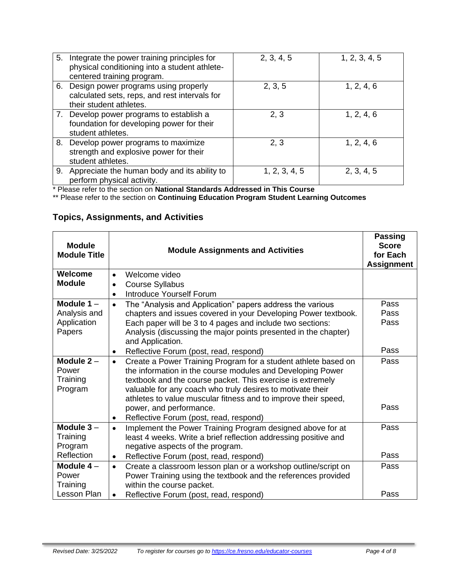| 5. Integrate the power training principles for<br>physical conditioning into a student athlete-<br>centered training program. | 2, 3, 4, 5    | 1, 2, 3, 4, 5 |
|-------------------------------------------------------------------------------------------------------------------------------|---------------|---------------|
| 6. Design power programs using properly<br>calculated sets, reps, and rest intervals for<br>their student athletes.           | 2, 3, 5       | 1, 2, 4, 6    |
| 7. Develop power programs to establish a<br>foundation for developing power for their<br>student athletes.                    | 2, 3          | 1, 2, 4, 6    |
| 8. Develop power programs to maximize<br>strength and explosive power for their<br>student athletes.                          | 2, 3          | 1, 2, 4, 6    |
| 9. Appreciate the human body and its ability to<br>perform physical activity.                                                 | 1, 2, 3, 4, 5 | 2, 3, 4, 5    |

\* Please refer to the section on **National Standards Addressed in This Course**

\*\* Please refer to the section on **Continuing Education Program Student Learning Outcomes**

# **Topics, Assignments, and Activities**

| <b>Module</b><br><b>Module Title</b> | <b>Module Assignments and Activities</b>                                            | <b>Passing</b><br><b>Score</b><br>for Each<br><b>Assignment</b> |
|--------------------------------------|-------------------------------------------------------------------------------------|-----------------------------------------------------------------|
| Welcome                              | Welcome video                                                                       |                                                                 |
| <b>Module</b>                        | <b>Course Syllabus</b>                                                              |                                                                 |
|                                      | <b>Introduce Yourself Forum</b>                                                     |                                                                 |
| Module $1 -$                         | The "Analysis and Application" papers address the various<br>$\bullet$              | Pass                                                            |
| Analysis and                         | chapters and issues covered in your Developing Power textbook.                      | Pass                                                            |
| Application                          | Each paper will be 3 to 4 pages and include two sections:                           | Pass                                                            |
| Papers                               | Analysis (discussing the major points presented in the chapter)<br>and Application. |                                                                 |
|                                      | Reflective Forum (post, read, respond)<br>$\bullet$                                 | Pass                                                            |
| Module $2 -$                         | Create a Power Training Program for a student athlete based on<br>$\bullet$         | Pass                                                            |
| Power                                | the information in the course modules and Developing Power                          |                                                                 |
| Training                             | textbook and the course packet. This exercise is extremely                          |                                                                 |
| Program                              | valuable for any coach who truly desires to motivate their                          |                                                                 |
|                                      | athletes to value muscular fitness and to improve their speed,                      |                                                                 |
|                                      | power, and performance.                                                             | Pass                                                            |
|                                      | Reflective Forum (post, read, respond)<br>٠                                         |                                                                 |
| Module $3 -$                         | Implement the Power Training Program designed above for at<br>$\bullet$             | Pass                                                            |
| Training                             | least 4 weeks. Write a brief reflection addressing positive and                     |                                                                 |
| Program                              | negative aspects of the program.                                                    |                                                                 |
| Reflection                           | Reflective Forum (post, read, respond)<br>$\bullet$                                 | Pass                                                            |
| Module $4-$                          | Create a classroom lesson plan or a workshop outline/script on<br>$\bullet$         | Pass                                                            |
| Power                                | Power Training using the textbook and the references provided                       |                                                                 |
| Training                             | within the course packet.                                                           |                                                                 |
| Lesson Plan                          | Reflective Forum (post, read, respond)<br>$\bullet$                                 | Pass                                                            |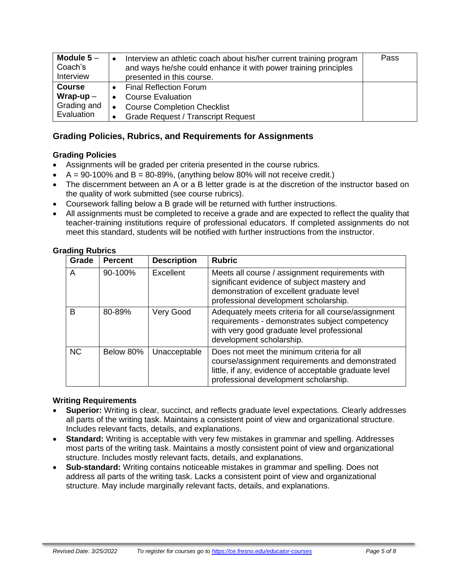| Module $5-$<br>Coach's<br>Interview | Interview an athletic coach about his/her current training program<br>and ways he/she could enhance it with power training principles<br>presented in this course. | Pass |
|-------------------------------------|--------------------------------------------------------------------------------------------------------------------------------------------------------------------|------|
| <b>Course</b>                       | <b>Final Reflection Forum</b>                                                                                                                                      |      |
| Wrap-up $-$                         | <b>Course Evaluation</b>                                                                                                                                           |      |
| Grading and                         | <b>Course Completion Checklist</b>                                                                                                                                 |      |
| Evaluation                          | <b>Grade Request / Transcript Request</b>                                                                                                                          |      |

# **Grading Policies, Rubrics, and Requirements for Assignments**

## **Grading Policies**

- Assignments will be graded per criteria presented in the course rubrics.
- $\bullet$  A = 90-100% and B = 80-89%, (anything below 80% will not receive credit.)
- The discernment between an A or a B letter grade is at the discretion of the instructor based on the quality of work submitted (see course rubrics).
- Coursework falling below a B grade will be returned with further instructions.
- All assignments must be completed to receive a grade and are expected to reflect the quality that teacher-training institutions require of professional educators. If completed assignments do not meet this standard, students will be notified with further instructions from the instructor.

| Grade     | <b>Percent</b>       | <b>Description</b> | <b>Rubric</b>                                                                                                                                                                                   |
|-----------|----------------------|--------------------|-------------------------------------------------------------------------------------------------------------------------------------------------------------------------------------------------|
| A         | 90-100%<br>Excellent |                    | Meets all course / assignment requirements with<br>significant evidence of subject mastery and<br>demonstration of excellent graduate level<br>professional development scholarship.            |
| B         | 80-89%               | Very Good          | Adequately meets criteria for all course/assignment<br>requirements - demonstrates subject competency<br>with very good graduate level professional<br>development scholarship.                 |
| <b>NC</b> | Below 80%            | Unacceptable       | Does not meet the minimum criteria for all<br>course/assignment requirements and demonstrated<br>little, if any, evidence of acceptable graduate level<br>professional development scholarship. |

#### **Grading Rubrics**

#### **Writing Requirements**

- **Superior:** Writing is clear, succinct, and reflects graduate level expectations. Clearly addresses all parts of the writing task. Maintains a consistent point of view and organizational structure. Includes relevant facts, details, and explanations.
- **Standard:** Writing is acceptable with very few mistakes in grammar and spelling. Addresses most parts of the writing task. Maintains a mostly consistent point of view and organizational structure. Includes mostly relevant facts, details, and explanations.
- **Sub-standard:** Writing contains noticeable mistakes in grammar and spelling. Does not address all parts of the writing task. Lacks a consistent point of view and organizational structure. May include marginally relevant facts, details, and explanations.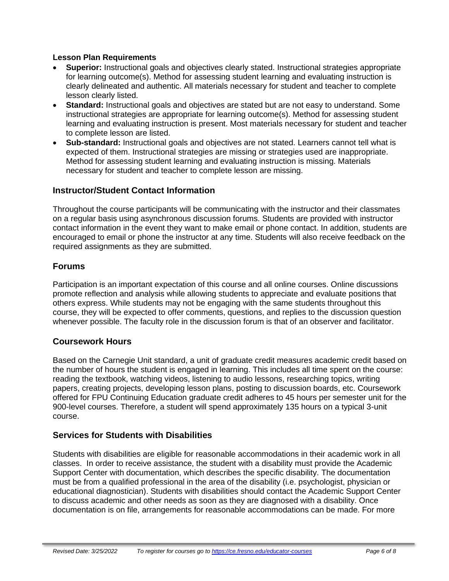#### **Lesson Plan Requirements**

- **Superior:** Instructional goals and objectives clearly stated. Instructional strategies appropriate for learning outcome(s). Method for assessing student learning and evaluating instruction is clearly delineated and authentic. All materials necessary for student and teacher to complete lesson clearly listed.
- **Standard:** Instructional goals and objectives are stated but are not easy to understand. Some instructional strategies are appropriate for learning outcome(s). Method for assessing student learning and evaluating instruction is present. Most materials necessary for student and teacher to complete lesson are listed.
- **Sub-standard:** Instructional goals and objectives are not stated. Learners cannot tell what is expected of them. Instructional strategies are missing or strategies used are inappropriate. Method for assessing student learning and evaluating instruction is missing. Materials necessary for student and teacher to complete lesson are missing.

# **Instructor/Student Contact Information**

Throughout the course participants will be communicating with the instructor and their classmates on a regular basis using asynchronous discussion forums. Students are provided with instructor contact information in the event they want to make email or phone contact. In addition, students are encouraged to email or phone the instructor at any time. Students will also receive feedback on the required assignments as they are submitted.

# **Forums**

Participation is an important expectation of this course and all online courses. Online discussions promote reflection and analysis while allowing students to appreciate and evaluate positions that others express. While students may not be engaging with the same students throughout this course, they will be expected to offer comments, questions, and replies to the discussion question whenever possible. The faculty role in the discussion forum is that of an observer and facilitator.

## **Coursework Hours**

Based on the Carnegie Unit standard, a unit of graduate credit measures academic credit based on the number of hours the student is engaged in learning. This includes all time spent on the course: reading the textbook, watching videos, listening to audio lessons, researching topics, writing papers, creating projects, developing lesson plans, posting to discussion boards, etc. Coursework offered for FPU Continuing Education graduate credit adheres to 45 hours per semester unit for the 900-level courses. Therefore, a student will spend approximately 135 hours on a typical 3-unit course.

## **Services for Students with Disabilities**

Students with disabilities are eligible for reasonable accommodations in their academic work in all classes. In order to receive assistance, the student with a disability must provide the Academic Support Center with documentation, which describes the specific disability. The documentation must be from a qualified professional in the area of the disability (i.e. psychologist, physician or educational diagnostician). Students with disabilities should contact the Academic Support Center to discuss academic and other needs as soon as they are diagnosed with a disability. Once documentation is on file, arrangements for reasonable accommodations can be made. For more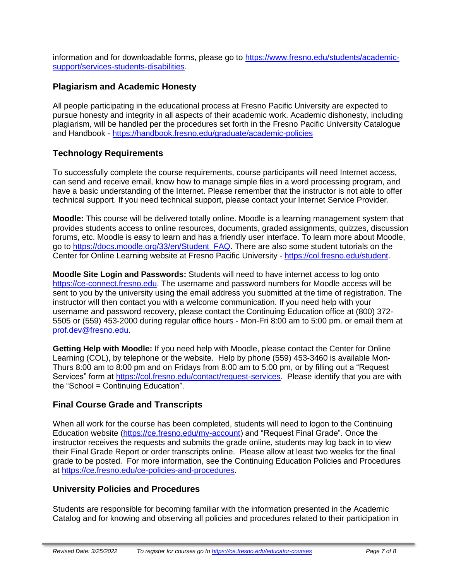information and for downloadable forms, please go to [https://www.fresno.edu/students/academic](https://www.fresno.edu/students/academic-support/services-students-disabilities)[support/services-students-disabilities.](https://www.fresno.edu/students/academic-support/services-students-disabilities)

# **Plagiarism and Academic Honesty**

All people participating in the educational process at Fresno Pacific University are expected to pursue honesty and integrity in all aspects of their academic work. Academic dishonesty, including plagiarism, will be handled per the procedures set forth in the Fresno Pacific University Catalogue and Handbook - <https://handbook.fresno.edu/graduate/academic-policies>

# **Technology Requirements**

To successfully complete the course requirements, course participants will need Internet access, can send and receive email, know how to manage simple files in a word processing program, and have a basic understanding of the Internet. Please remember that the instructor is not able to offer technical support. If you need technical support, please contact your Internet Service Provider.

**Moodle:** This course will be delivered totally online. Moodle is a learning management system that provides students access to online resources, documents, graded assignments, quizzes, discussion forums, etc. Moodle is easy to learn and has a friendly user interface. To learn more about Moodle, go to [https://docs.moodle.org/33/en/Student\\_FAQ.](https://docs.moodle.org/33/en/Student_FAQ) There are also some student tutorials on the Center for Online Learning website at Fresno Pacific University - [https://col.fresno.edu/student.](https://col.fresno.edu/student)

**Moodle Site Login and Passwords:** Students will need to have internet access to log onto [https://ce-connect.fresno.edu.](https://ce-connect.fresno.edu/) The username and password numbers for Moodle access will be sent to you by the university using the email address you submitted at the time of registration. The instructor will then contact you with a welcome communication. If you need help with your username and password recovery, please contact the Continuing Education office at (800) 372- 5505 or (559) 453-2000 during regular office hours - Mon-Fri 8:00 am to 5:00 pm. or email them at [prof.dev@fresno.edu.](mailto:prof.dev@fresno.edu)

**Getting Help with Moodle:** If you need help with Moodle, please contact the Center for Online Learning (COL), by telephone or the website. Help by phone (559) 453-3460 is available Mon-Thurs 8:00 am to 8:00 pm and on Fridays from 8:00 am to 5:00 pm, or by filling out a "Request Services" form at [https://col.fresno.edu/contact/request-services.](https://col.fresno.edu/contact/request-services) Please identify that you are with the "School = Continuing Education".

## **Final Course Grade and Transcripts**

When all work for the course has been completed, students will need to logon to the Continuing Education website [\(https://ce.fresno.edu/my-account\)](https://ce.fresno.edu/my-account) and "Request Final Grade". Once the instructor receives the requests and submits the grade online, students may log back in to view their Final Grade Report or order transcripts online. Please allow at least two weeks for the final grade to be posted. For more information, see the Continuing Education Policies and Procedures at [https://ce.fresno.edu/ce-policies-and-procedures.](https://ce.fresno.edu/ce-policies-and-procedures)

## **University Policies and Procedures**

Students are responsible for becoming familiar with the information presented in the Academic Catalog and for knowing and observing all policies and procedures related to their participation in